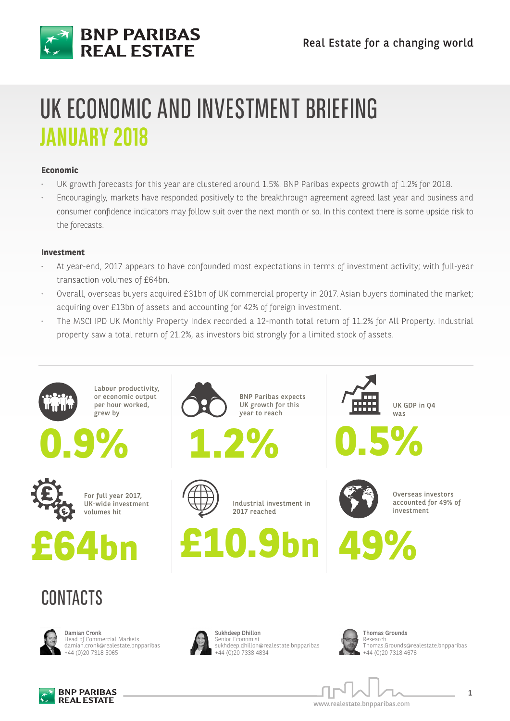

## UK ECONOMIC AND INVESTMENT BRIEFING **JANUARY 2018**

#### **Economic**

- UK growth forecasts for this year are clustered around 1.5%. BNP Paribas expects growth of 1.2% for 2018.
- Encouragingly, markets have responded positively to the breakthrough agreement agreed last year and business and consumer confidence indicators may follow suit over the next month or so. In this context there is some upside risk to the forecasts.

#### **Investment**

- At year-end, 2017 appears to have confounded most expectations in terms of investment activity; with full-year transaction volumes of £64bn.
- Overall, overseas buyers acquired £31bn of UK commercial property in 2017. Asian buyers dominated the market; acquiring over £13bn of assets and accounting for 42% of foreign investment.
- The MSCI IPD UK Monthly Property Index recorded a 12-month total return of 11.2% for All Property. Industrial property saw a total return of 21.2%, as investors bid strongly for a limited stock of assets.





Damian Cronk Head of Commercial Markets damian.cronk@realestate.bnpparibas +44 (0)20 7318 5065



Sukhdeep Dhillon Senior Economist sukhdeep.dhillon@realestate.bnpparibas +44 (0)20 7338 4834



Thomas Grounds Research Thomas.Grounds@realestate.bnpparibas +44 (0)20 7318 4676



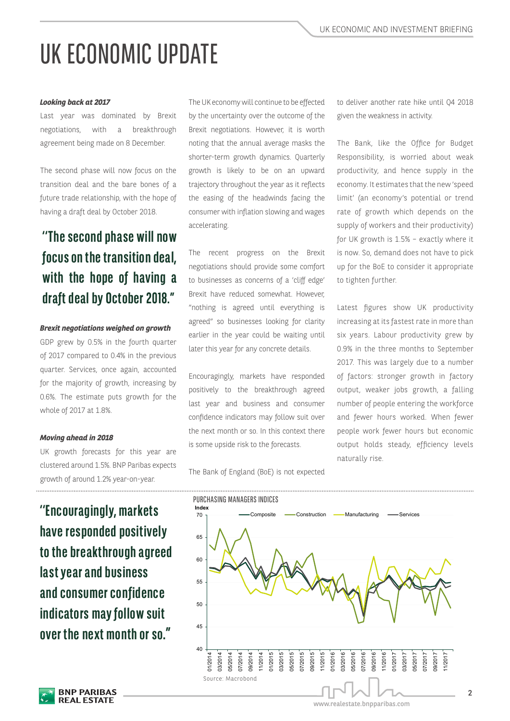# UK ECONOMIC UPDATE

#### *Looking back at 2017*

Last year was dominated by Brexit negotiations, with a breakthrough agreement being made on 8 December.

The second phase will now focus on the transition deal and the bare bones of a future trade relationship, with the hope of having a draft deal by October 2018.

### **''The second phase will now focus on the transition deal, with the hope of having a draft deal by October 2018."**

#### *Brexit negotiations weighed on growth*

GDP grew by 0.5% in the fourth quarter of 2017 compared to 0.4% in the previous quarter. Services, once again, accounted for the majority of growth, increasing by 0.6%. The estimate puts growth for the whole of 2017 at 1.8%.

#### *Moving ahead in 2018*

UK growth forecasts for this year are clustered around 1.5%. BNP Paribas expects growth of around 1.2% year-on-year.

**have responded positively to the breakthrough agreed last year and business and consumer confidence indicators may follow suit over the next month or so."**

The UK economy will continue to be effected by the uncertainty over the outcome of the Brexit negotiations. However, it is worth noting that the annual average masks the shorter-term growth dynamics. Quarterly growth is likely to be on an upward trajectory throughout the year as it reflects the easing of the headwinds facing the consumer with inflation slowing and wages accelerating.

The recent progress on the Brexit negotiations should provide some comfort to businesses as concerns of a 'cliff edge' Brexit have reduced somewhat. However, "nothing is agreed until everything is agreed" so businesses looking for clarity earlier in the year could be waiting until later this year for any concrete details.

Encouragingly, markets have responded positively to the breakthrough agreed last year and business and consumer confidence indicators may follow suit over the next month or so. In this context there is some upside risk to the forecasts.

The Bank of England (BoE) is not expected

to deliver another rate hike until Q4 2018 given the weakness in activity.

The Bank, like the Office for Budget Responsibility, is worried about weak productivity, and hence supply in the economy. It estimates that the new 'speed limit' (an economy's potential or trend rate of growth which depends on the supply of workers and their productivity) for UK growth is 1.5% – exactly where it is now. So, demand does not have to pick up for the BoE to consider it appropriate to tighten further.

Latest figures show UK productivity increasing at its fastest rate in more than six years. Labour productivity grew by 0.9% in the three months to September 2017. This was largely due to a number of factors: stronger growth in factory output, weaker jobs growth, a falling number of people entering the workforce and fewer hours worked. When fewer people work fewer hours but economic output holds steady, efficiency levels naturally rise.

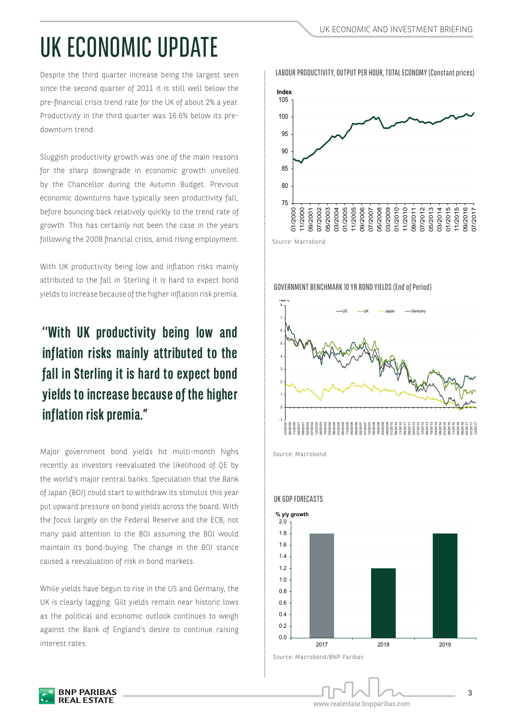# UK ECONOMIC UPDATE

Despite the third quarter increase being the largest seen since the second quarter of 2011 it is still well below the pre-financial crisis trend rate for the UK of about 2% a year. Productivity in the third quarter was 16.6% below its predownturn trend.

Sluggish productivity growth was one of the main reasons for the sharp downgrade in economic growth unveiled by the Chancellor during the Autumn Budget. Previous economic downturns have typically seen productivity fall, before bouncing back relatively quickly to the trend rate of growth. This has certainly not been the case in the years following the 2008 financial crisis, amid rising employment.

With UK productivity being low and inflation risks mainly attributed to the fall in Sterling it is hard to expect bond yields to increase because of the higher inflation risk premia.

## **''With UK productivity being low and inflation risks mainly attributed to the fall in Sterling it is hard to expect bond yields to increase because of the higher inflation risk premia."**

Major government bond yields hit multi-month highs recently as investors reevaluated the likelihood of QE by the world's major central banks. Speculation that the Bank of Japan (BOJ) could start to withdraw its stimulus this year put upward pressure on bond yields across the board. With the focus largely on the Federal Reserve and the ECB, not many paid attention to the BOJ assuming the BOJ would maintain its bond-buying. The change in the BOJ stance caused a reevaluation of risk in bond markets.

While yields have begun to rise in the US and Germany, the UK is clearly lagging. Gilt yields remain near historic lows as the political and economic outlook continues to weigh against the Bank of England's desire to continue raising interest rates.

**BNP PARIBAS REAL ESTATE** 



GOVERNMENT BENCHMARK 10 YR BOND YIELDS (End of Period)



Source: Macrobond



#### UK GDP FORECASTS